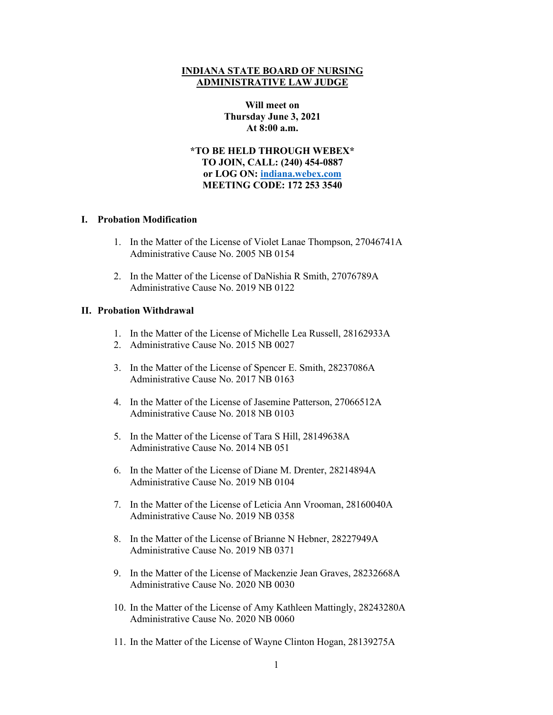### **INDIANA STATE BOARD OF NURSING ADMINISTRATIVE LAW JUDGE**

## **Will meet on Thursday June 3, 2021 At 8:00 a.m.**

**\*TO BE HELD THROUGH WEBEX\* TO JOIN, CALL: (240) 454-0887 or LOG ON: [indiana.webex.com](https://indiana.webex.com/webappng/sites/indiana/dashboard?siteurl=indiana) MEETING CODE: 172 253 3540**

### **I. Probation Modification**

- 1. In the Matter of the License of Violet Lanae Thompson, 27046741A Administrative Cause No. 2005 NB 0154
- 2. In the Matter of the License of DaNishia R Smith, 27076789A Administrative Cause No. 2019 NB 0122

## **II. Probation Withdrawal**

- 1. In the Matter of the License of Michelle Lea Russell, 28162933A
- 2. Administrative Cause No. 2015 NB 0027
- 3. In the Matter of the License of Spencer E. Smith, 28237086A Administrative Cause No. 2017 NB 0163
- 4. In the Matter of the License of Jasemine Patterson, 27066512A Administrative Cause No. 2018 NB 0103
- 5. In the Matter of the License of Tara S Hill, 28149638A Administrative Cause No. 2014 NB 051
- 6. In the Matter of the License of Diane M. Drenter, 28214894A Administrative Cause No. 2019 NB 0104
- 7. In the Matter of the License of Leticia Ann Vrooman, 28160040A Administrative Cause No. 2019 NB 0358
- 8. In the Matter of the License of Brianne N Hebner, 28227949A Administrative Cause No. 2019 NB 0371
- 9. In the Matter of the License of Mackenzie Jean Graves, 28232668A Administrative Cause No. 2020 NB 0030
- 10. In the Matter of the License of Amy Kathleen Mattingly, 28243280A Administrative Cause No. 2020 NB 0060
- 11. In the Matter of the License of Wayne Clinton Hogan, 28139275A